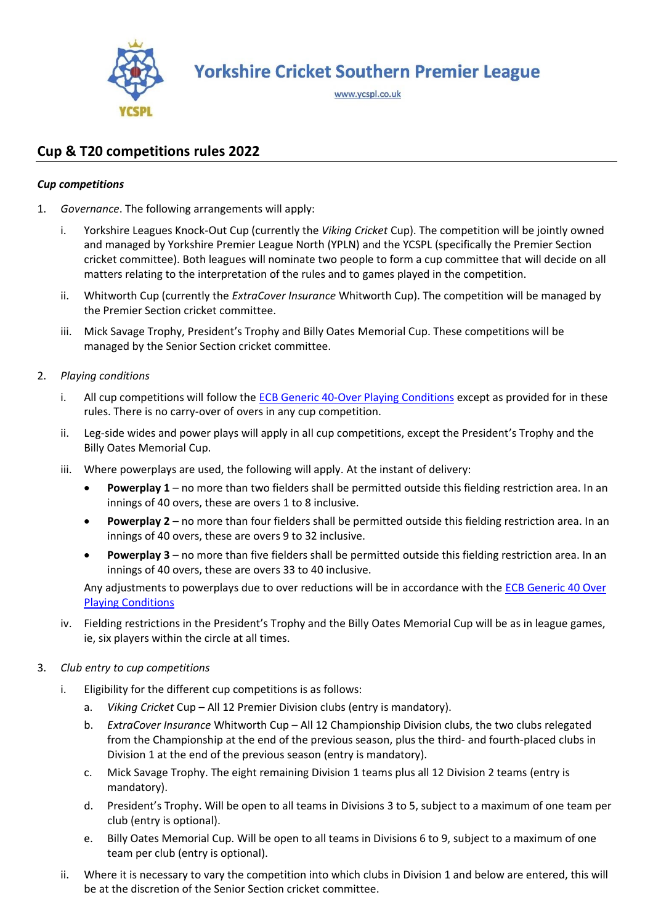

**Yorkshire Cricket Southern Premier League** 

www.ycspl.co.uk

# **Cup & T20 competitions rules 2022**

# *Cup competitions*

- 1. *Governance*. The following arrangements will apply:
	- i. Yorkshire Leagues Knock-Out Cup (currently the *Viking Cricket* Cup). The competition will be jointly owned and managed by Yorkshire Premier League North (YPLN) and the YCSPL (specifically the Premier Section cricket committee). Both leagues will nominate two people to form a cup committee that will decide on all matters relating to the interpretation of the rules and to games played in the competition.
	- ii. Whitworth Cup (currently the *ExtraCover Insurance* Whitworth Cup). The competition will be managed by the Premier Section cricket committee.
	- iii. Mick Savage Trophy, President's Trophy and Billy Oates Memorial Cup. These competitions will be managed by the Senior Section cricket committee.
- 2. *Playing conditions*
	- i. All cup competitions will follow the **ECB Generic 40-Over Playing Conditions** except as provided for in these rules. There is no carry-over of overs in any cup competition.
	- ii. Leg-side wides and power plays will apply in all cup competitions, except the President's Trophy and the Billy Oates Memorial Cup.
	- iii. Where powerplays are used, the following will apply. At the instant of delivery:
		- **Powerplay 1**  no more than two fielders shall be permitted outside this fielding restriction area. In an innings of 40 overs, these are overs 1 to 8 inclusive.
		- **Powerplay 2**  no more than four fielders shall be permitted outside this fielding restriction area. In an innings of 40 overs, these are overs 9 to 32 inclusive.
		- **Powerplay 3**  no more than five fielders shall be permitted outside this fielding restriction area. In an innings of 40 overs, these are overs 33 to 40 inclusive.

Any adjustments to powerplays due to over reductions will be in accordance with the ECB Generic 40 Over [Playing Conditions](https://resources.ecb.co.uk/ecb/document/2021/03/16/cf79e373-6423-4ce3-bcef-0c656aa895bb/4.-40-Over.pdf)

- iv. Fielding restrictions in the President's Trophy and the Billy Oates Memorial Cup will be as in league games, ie, six players within the circle at all times.
- 3. *Club entry to cup competitions*
	- i. Eligibility for the different cup competitions is as follows:
		- a. *Viking Cricket* Cup All 12 Premier Division clubs (entry is mandatory).
		- b. *ExtraCover Insurance* Whitworth Cup All 12 Championship Division clubs, the two clubs relegated from the Championship at the end of the previous season, plus the third- and fourth-placed clubs in Division 1 at the end of the previous season (entry is mandatory).
		- c. Mick Savage Trophy. The eight remaining Division 1 teams plus all 12 Division 2 teams (entry is mandatory).
		- d. President's Trophy. Will be open to all teams in Divisions 3 to 5, subject to a maximum of one team per club (entry is optional).
		- e. Billy Oates Memorial Cup. Will be open to all teams in Divisions 6 to 9, subject to a maximum of one team per club (entry is optional).
	- ii. Where it is necessary to vary the competition into which clubs in Division 1 and below are entered, this will be at the discretion of the Senior Section cricket committee.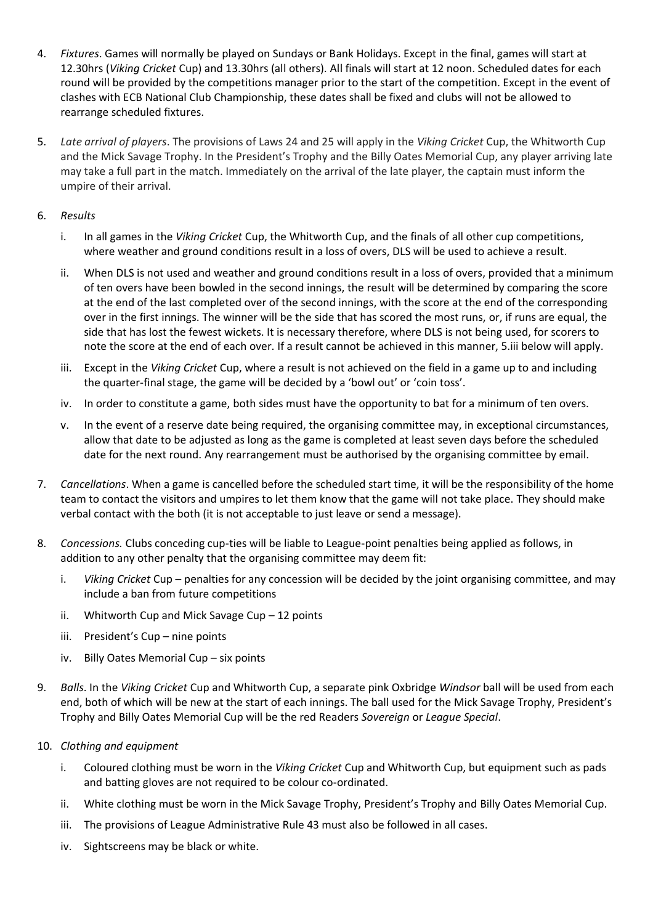- 4. *Fixtures*. Games will normally be played on Sundays or Bank Holidays. Except in the final, games will start at 12.30hrs (*Viking Cricket* Cup) and 13.30hrs (all others). All finals will start at 12 noon. Scheduled dates for each round will be provided by the competitions manager prior to the start of the competition. Except in the event of clashes with ECB National Club Championship, these dates shall be fixed and clubs will not be allowed to rearrange scheduled fixtures.
- 5. *Late arrival of players*. The provisions of Laws 24 and 25 will apply in the *Viking Cricket* Cup, the Whitworth Cup and the Mick Savage Trophy. In the President's Trophy and the Billy Oates Memorial Cup, any player arriving late may take a full part in the match. Immediately on the arrival of the late player, the captain must inform the umpire of their arrival.

## 6. *Results*

- i. In all games in the *Viking Cricket* Cup, the Whitworth Cup, and the finals of all other cup competitions, where weather and ground conditions result in a loss of overs, DLS will be used to achieve a result.
- ii. When DLS is not used and weather and ground conditions result in a loss of overs, provided that a minimum of ten overs have been bowled in the second innings, the result will be determined by comparing the score at the end of the last completed over of the second innings, with the score at the end of the corresponding over in the first innings. The winner will be the side that has scored the most runs, or, if runs are equal, the side that has lost the fewest wickets. It is necessary therefore, where DLS is not being used, for scorers to note the score at the end of each over. If a result cannot be achieved in this manner, 5.iii below will apply.
- iii. Except in the *Viking Cricket* Cup, where a result is not achieved on the field in a game up to and including the quarter-final stage, the game will be decided by a 'bowl out' or 'coin toss'.
- iv. In order to constitute a game, both sides must have the opportunity to bat for a minimum of ten overs.
- v. In the event of a reserve date being required, the organising committee may, in exceptional circumstances, allow that date to be adjusted as long as the game is completed at least seven days before the scheduled date for the next round. Any rearrangement must be authorised by the organising committee by email.
- 7. *Cancellations*. When a game is cancelled before the scheduled start time, it will be the responsibility of the home team to contact the visitors and umpires to let them know that the game will not take place. They should make verbal contact with the both (it is not acceptable to just leave or send a message).
- 8. *Concessions.* Clubs conceding cup-ties will be liable to League-point penalties being applied as follows, in addition to any other penalty that the organising committee may deem fit:
	- i. *Viking Cricket* Cup penalties for any concession will be decided by the joint organising committee, and may include a ban from future competitions
	- ii. Whitworth Cup and Mick Savage Cup 12 points
	- iii. President's Cup nine points
	- iv. Billy Oates Memorial Cup six points
- 9. *Balls*. In the *Viking Cricket* Cup and Whitworth Cup, a separate pink Oxbridge *Windsor* ball will be used from each end, both of which will be new at the start of each innings. The ball used for the Mick Savage Trophy, President's Trophy and Billy Oates Memorial Cup will be the red Readers *Sovereign* or *League Special*.
- 10. *Clothing and equipment*
	- i. Coloured clothing must be worn in the *Viking Cricket* Cup and Whitworth Cup, but equipment such as pads and batting gloves are not required to be colour co-ordinated.
	- ii. White clothing must be worn in the Mick Savage Trophy, President's Trophy and Billy Oates Memorial Cup.
	- iii. The provisions of League Administrative Rule 43 must also be followed in all cases.
	- iv. Sightscreens may be black or white.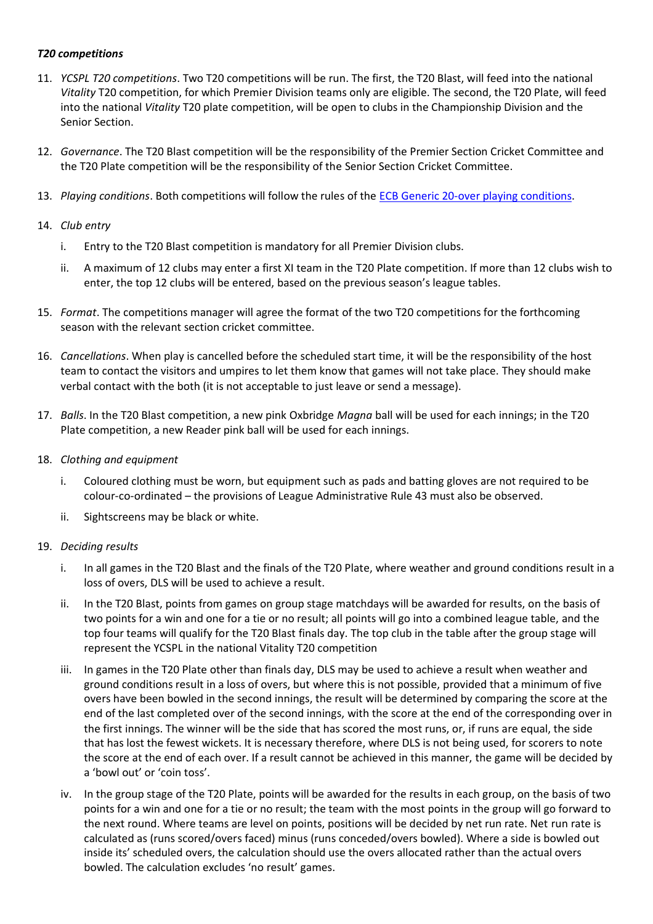#### *T20 competitions*

- 11. *YCSPL T20 competitions*. Two T20 competitions will be run. The first, the T20 Blast, will feed into the national *Vitality* T20 competition, for which Premier Division teams only are eligible. The second, the T20 Plate, will feed into the national *Vitality* T20 plate competition, will be open to clubs in the Championship Division and the Senior Section.
- 12. *Governance*. The T20 Blast competition will be the responsibility of the Premier Section Cricket Committee and the T20 Plate competition will be the responsibility of the Senior Section Cricket Committee.
- 13. *Playing conditions*. Both competitions will follow the rules of the [ECB Generic 20-over playing conditions.](https://resources.ecb.co.uk/ecb/document/2021/03/16/09ff1d5d-c17f-4a5a-952c-2bb1e8d30588/5.-20-Over.pdf)

#### 14. *Club entry*

- i. Entry to the T20 Blast competition is mandatory for all Premier Division clubs.
- ii. A maximum of 12 clubs may enter a first XI team in the T20 Plate competition. If more than 12 clubs wish to enter, the top 12 clubs will be entered, based on the previous season's league tables.
- 15. *Format*. The competitions manager will agree the format of the two T20 competitions for the forthcoming season with the relevant section cricket committee.
- 16. *Cancellations*. When play is cancelled before the scheduled start time, it will be the responsibility of the host team to contact the visitors and umpires to let them know that games will not take place. They should make verbal contact with the both (it is not acceptable to just leave or send a message).
- 17. *Balls*. In the T20 Blast competition, a new pink Oxbridge *Magna* ball will be used for each innings; in the T20 Plate competition, a new Reader pink ball will be used for each innings.
- 18. *Clothing and equipment*
	- i. Coloured clothing must be worn, but equipment such as pads and batting gloves are not required to be colour-co-ordinated – the provisions of League Administrative Rule 43 must also be observed.
	- ii. Sightscreens may be black or white.

# 19. *Deciding results*

- i. In all games in the T20 Blast and the finals of the T20 Plate, where weather and ground conditions result in a loss of overs, DLS will be used to achieve a result.
- ii. In the T20 Blast, points from games on group stage matchdays will be awarded for results, on the basis of two points for a win and one for a tie or no result; all points will go into a combined league table, and the top four teams will qualify for the T20 Blast finals day. The top club in the table after the group stage will represent the YCSPL in the national Vitality T20 competition
- iii. In games in the T20 Plate other than finals day, DLS may be used to achieve a result when weather and ground conditions result in a loss of overs, but where this is not possible, provided that a minimum of five overs have been bowled in the second innings, the result will be determined by comparing the score at the end of the last completed over of the second innings, with the score at the end of the corresponding over in the first innings. The winner will be the side that has scored the most runs, or, if runs are equal, the side that has lost the fewest wickets. It is necessary therefore, where DLS is not being used, for scorers to note the score at the end of each over. If a result cannot be achieved in this manner, the game will be decided by a 'bowl out' or 'coin toss'.
- iv. In the group stage of the T20 Plate, points will be awarded for the results in each group, on the basis of two points for a win and one for a tie or no result; the team with the most points in the group will go forward to the next round. Where teams are level on points, positions will be decided by net run rate. Net run rate is calculated as (runs scored/overs faced) minus (runs conceded/overs bowled). Where a side is bowled out inside its' scheduled overs, the calculation should use the overs allocated rather than the actual overs bowled. The calculation excludes 'no result' games.